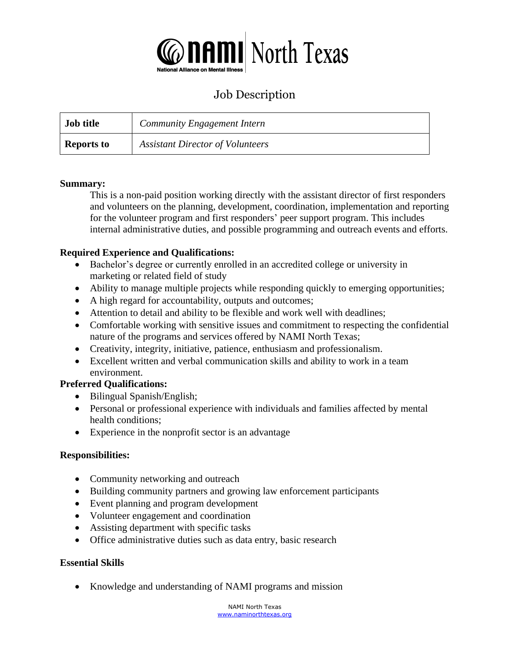

# Job Description

| Job title         | <b>Community Engagement Intern</b>      |
|-------------------|-----------------------------------------|
| <b>Reports to</b> | <b>Assistant Director of Volunteers</b> |

#### **Summary:**

This is a non-paid position working directly with the assistant director of first responders and volunteers on the planning, development, coordination, implementation and reporting for the volunteer program and first responders' peer support program. This includes internal administrative duties, and possible programming and outreach events and efforts.

### **Required Experience and Qualifications:**

- Bachelor's degree or currently enrolled in an accredited college or university in marketing or related field of study
- Ability to manage multiple projects while responding quickly to emerging opportunities;
- A high regard for accountability, outputs and outcomes;
- Attention to detail and ability to be flexible and work well with deadlines;
- Comfortable working with sensitive issues and commitment to respecting the confidential nature of the programs and services offered by NAMI North Texas;
- Creativity, integrity, initiative, patience, enthusiasm and professionalism.
- Excellent written and verbal communication skills and ability to work in a team environment.

#### **Preferred Qualifications:**

- Bilingual Spanish/English;
- Personal or professional experience with individuals and families affected by mental health conditions;
- Experience in the nonprofit sector is an advantage

#### **Responsibilities:**

- Community networking and outreach
- Building community partners and growing law enforcement participants
- Event planning and program development
- Volunteer engagement and coordination
- Assisting department with specific tasks
- Office administrative duties such as data entry, basic research

#### **Essential Skills**

• Knowledge and understanding of NAMI programs and mission